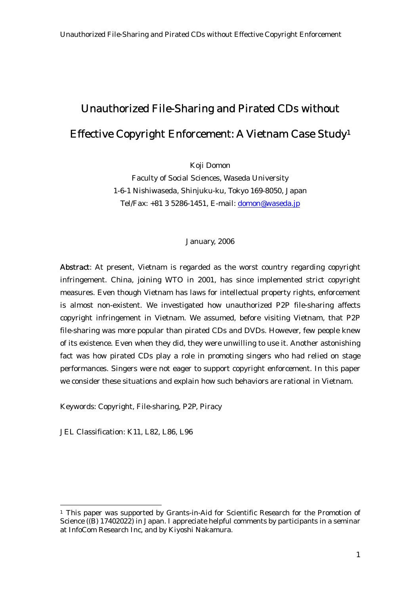# Unauthorized File-Sharing and Pirated CDs without Effective Copyright Enforcement: A Vietnam Case Study1

Koji Domon

Faculty of Social Sciences, Waseda University 1-6-1 Nishiwaseda, Shinjuku-ku, Tokyo 169-8050, Japan Tel/Fax: +81 3 5286-1451, E-mail: domon@waseda.jp

#### January, 2006

Abstract: At present, Vietnam is regarded as the worst country regarding copyright infringement. China, joining WTO in 2001, has since implemented strict copyright measures. Even though Vietnam has laws for intellectual property rights, enforcement is almost non-existent. We investigated how unauthorized P2P file-sharing affects copyright infringement in Vietnam. We assumed, before visiting Vietnam, that P2P file-sharing was more popular than pirated CDs and DVDs. However, few people knew of its existence. Even when they did, they were unwilling to use it. Another astonishing fact was how pirated CDs play a role in promoting singers who had relied on stage performances. Singers were not eager to support copyright enforcement. In this paper we consider these situations and explain how such behaviors are rational in Vietnam.

Keywords: Copyright, File-sharing, P2P, Piracy

JEL Classification: K11, L82, L86, L96

<sup>1</sup> This paper was supported by Grants-in-Aid for Scientific Research for the Promotion of Science  $((\overline{B}) 17402022)$  in Japan. I appreciate helpful comments by participants in a seminar at InfoCom Research Inc, and by Kiyoshi Nakamura.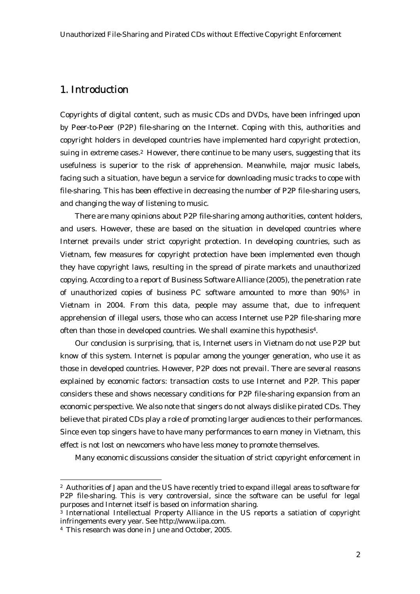## 1. Introduction

Copyrights of digital content, such as music CDs and DVDs, have been infringed upon by Peer-to-Peer (P2P) file-sharing on the Internet. Coping with this, authorities and copyright holders in developed countries have implemented hard copyright protection, suing in extreme cases.<sup>2</sup> However, there continue to be many users, suggesting that its usefulness is superior to the risk of apprehension. Meanwhile, major music labels, facing such a situation, have begun a service for downloading music tracks to cope with file-sharing. This has been effective in decreasing the number of P2P file-sharing users, and changing the way of listening to music.

 There are many opinions about P2P file-sharing among authorities, content holders, and users. However, these are based on the situation in developed countries where Internet prevails under strict copyright protection. In developing countries, such as Vietnam, few measures for copyright protection have been implemented even though they have copyright laws, resulting in the spread of pirate markets and unauthorized copying. According to a report of Business Software Alliance (2005), the penetration rate of unauthorized copies of business PC software amounted to more than 90%3 in Vietnam in 2004. From this data, people may assume that, due to infrequent apprehension of illegal users, those who can access Internet use P2P file-sharing more often than those in developed countries. We shall examine this hypothesis4.

 Our conclusion is surprising, that is, Internet users in Vietnam do not use P2P but know of this system. Internet is popular among the younger generation, who use it as those in developed countries. However, P2P does not prevail. There are several reasons explained by economic factors: transaction costs to use Internet and P2P. This paper considers these and shows necessary conditions for P2P file-sharing expansion from an economic perspective. We also note that singers do not always dislike pirated CDs. They believe that pirated CDs play a role of promoting larger audiences to their performances. Since even top singers have to have many performances to earn money in Vietnam, this effect is not lost on newcomers who have less money to promote themselves.

Many economic discussions consider the situation of strict copyright enforcement in

<sup>2</sup> Authorities of Japan and the US have recently tried to expand illegal areas to software for P2P file-sharing. This is very controversial, since the software can be useful for legal purposes and Internet itself is based on information sharing.

<sup>&</sup>lt;sup>3</sup> International Intellectual Property Alliance in the US reports a satiation of copyright infringements every year. See http://www.iipa.com.

<sup>4</sup> This research was done in June and October, 2005.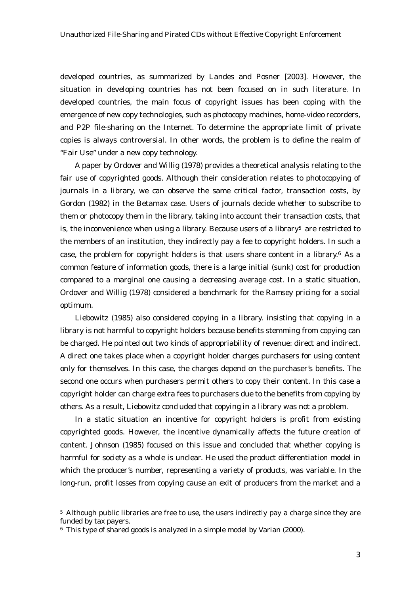developed countries, as summarized by Landes and Posner [2003]. However, the situation in developing countries has not been focused on in such literature. In developed countries, the main focus of copyright issues has been coping with the emergence of new copy technologies, such as photocopy machines, home-video recorders, and P2P file-sharing on the Internet. To determine the appropriate limit of private copies is always controversial. In other words, the problem is to define the realm of "Fair Use" under a new copy technology.

A paper by Ordover and Willig (1978) provides a theoretical analysis relating to the fair use of copyrighted goods. Although their consideration relates to photocopying of journals in a library, we can observe the same critical factor, transaction costs, by Gordon (1982) in the Betamax case. Users of journals decide whether to subscribe to them or photocopy them in the library, taking into account their transaction costs, that is, the inconvenience when using a library. Because users of a library<sup>5</sup> are restricted to the members of an institution, they indirectly pay a fee to copyright holders. In such a case, the problem for copyright holders is that users share content in a library.6 As a common feature of information goods, there is a large initial (sunk) cost for production compared to a marginal one causing a decreasing average cost. In a static situation, Ordover and Willig (1978) considered a benchmark for the Ramsey pricing for a social optimum.

 Liebowitz (1985) also considered copying in a library. insisting that copying in a library is not harmful to copyright holders because benefits stemming from copying can be charged. He pointed out two kinds of appropriability of revenue: direct and indirect. A direct one takes place when a copyright holder charges purchasers for using content only for themselves. In this case, the charges depend on the purchaser's benefits. The second one occurs when purchasers permit others to copy their content. In this case a copyright holder can charge extra fees to purchasers due to the benefits from copying by others. As a result, Liebowitz concluded that copying in a library was not a problem.

 In a static situation an incentive for copyright holders is profit from existing copyrighted goods. However, the incentive dynamically affects the future creation of content. Johnson (1985) focused on this issue and concluded that whether copying is harmful for society as a whole is unclear. He used the product differentiation model in which the producer's number, representing a variety of products, was variable. In the long-run, profit losses from copying cause an exit of producers from the market and a

<sup>&</sup>lt;sup>5</sup> Although public libraries are free to use, the users indirectly pay a charge since they are funded by tax payers.

<sup>6</sup> This type of shared goods is analyzed in a simple model by Varian (2000).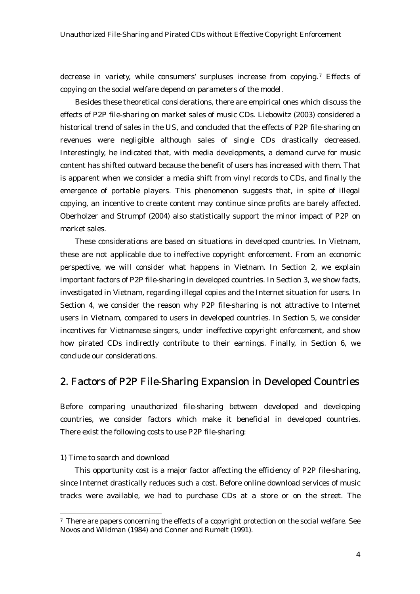decrease in variety, while consumers' surpluses increase from copying.7 Effects of copying on the social welfare depend on parameters of the model.

 Besides these theoretical considerations, there are empirical ones which discuss the effects of P2P file-sharing on market sales of music CDs. Liebowitz (2003) considered a historical trend of sales in the US, and concluded that the effects of P2P file-sharing on revenues were negligible although sales of single CDs drastically decreased. Interestingly, he indicated that, with media developments, a demand curve for music content has shifted outward because the benefit of users has increased with them. That is apparent when we consider a media shift from vinyl records to CDs, and finally the emergence of portable players. This phenomenon suggests that, in spite of illegal copying, an incentive to create content may continue since profits are barely affected. Oberholzer and Strumpf (2004) also statistically support the minor impact of P2P on market sales.

 These considerations are based on situations in developed countries. In Vietnam, these are not applicable due to ineffective copyright enforcement. From an economic perspective, we will consider what happens in Vietnam. In Section 2, we explain important factors of P2P file-sharing in developed countries. In Section 3, we show facts, investigated in Vietnam, regarding illegal copies and the Internet situation for users. In Section 4, we consider the reason why P2P file-sharing is not attractive to Internet users in Vietnam, compared to users in developed countries. In Section 5, we consider incentives for Vietnamese singers, under ineffective copyright enforcement, and show how pirated CDs indirectly contribute to their earnings. Finally, in Section 6, we conclude our considerations.

# 2. Factors of P2P File-Sharing Expansion in Developed Countries

Before comparing unauthorized file-sharing between developed and developing countries, we consider factors which make it beneficial in developed countries. There exist the following costs to use P2P file-sharing:

1) Time to search and download

 $\overline{a}$ 

This opportunity cost is a major factor affecting the efficiency of P2P file-sharing, since Internet drastically reduces such a cost. Before online download services of music tracks were available, we had to purchase CDs at a store or on the street. The

 $7$  There are papers concerning the effects of a copyright protection on the social welfare. See Novos and Wildman (1984) and Conner and Rumelt (1991).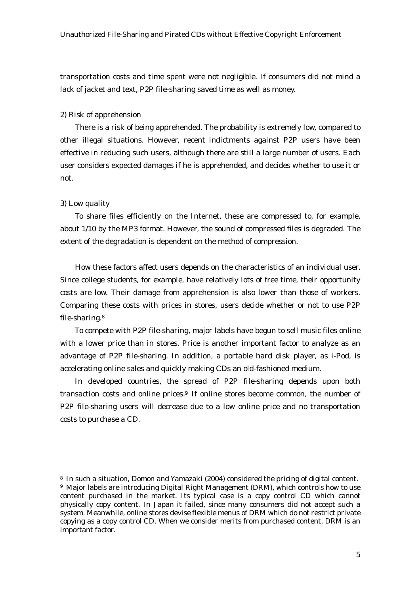transportation costs and time spent were not negligible. If consumers did not mind a lack of jacket and text, P2P file-sharing saved time as well as money.

#### 2) Risk of apprehension

 There is a risk of being apprehended. The probability is extremely low, compared to other illegal situations. However, recent indictments against P2P users have been effective in reducing such users, although there are still a large number of users. Each user considers expected damages if he is apprehended, and decides whether to use it or not.

#### 3) Low quality

 $\overline{a}$ 

 To share files efficiently on the Internet, these are compressed to, for example, about 1/10 by the MP3 format. However, the sound of compressed files is degraded. The extent of the degradation is dependent on the method of compression.

 How these factors affect users depends on the characteristics of an individual user. Since college students, for example, have relatively lots of free time, their opportunity costs are low. Their damage from apprehension is also lower than those of workers. Comparing these costs with prices in stores, users decide whether or not to use P2P file-sharing.8

To compete with P2P file-sharing, major labels have begun to sell music files online with a lower price than in stores. Price is another important factor to analyze as an advantage of P2P file-sharing. In addition, a portable hard disk player, as i-Pod, is accelerating online sales and quickly making CDs an old-fashioned medium.

In developed countries, the spread of P2P file-sharing depends upon both transaction costs and online prices.9 If online stores become common, the number of P2P file-sharing users will decrease due to a low online price and no transportation costs to purchase a CD.

<sup>8</sup> In such a situation, Domon and Yamazaki (2004) considered the pricing of digital content.

<sup>9</sup> Major labels are introducing Digital Right Management (DRM), which controls how to use content purchased in the market. Its typical case is a copy control CD which cannot physically copy content. In Japan it failed, since many consumers did not accept such a system. Meanwhile, online stores devise flexible menus of DRM which do not restrict private copying as a copy control CD. When we consider merits from purchased content, DRM is an important factor.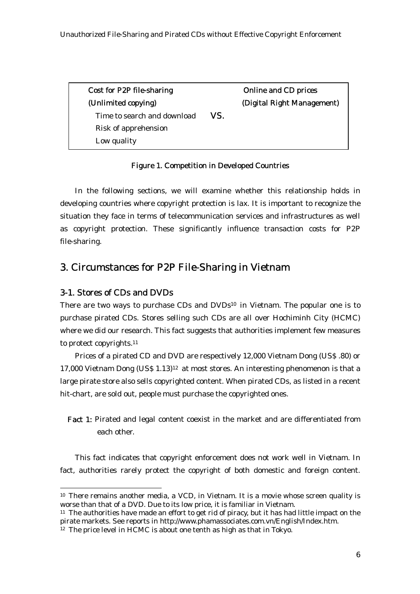Unauthorized File-Sharing and Pirated CDs without Effective Copyright Enforcement

| <b>Cost for P2P file-sharing</b> |     | <b>Online and CD prices</b> |
|----------------------------------|-----|-----------------------------|
| (Unlimited copying)              |     | (Digital Right Management)  |
| Time to search and download      | VS. |                             |
| <b>Risk of apprehension</b>      |     |                             |
| Low quality                      |     |                             |

### Figure 1. Competition in Developed Countries

In the following sections, we will examine whether this relationship holds in developing countries where copyright protection is lax. It is important to recognize the situation they face in terms of telecommunication services and infrastructures as well as copyright protection. These significantly influence transaction costs for P2P file-sharing.

# 3. Circumstances for P2P File-Sharing in Vietnam

## 3-1. Stores of CDs and DVDs

 $\overline{a}$ 

There are two ways to purchase CDs and DVDs<sup>10</sup> in Vietnam. The popular one is to purchase pirated CDs. Stores selling such CDs are all over Hochiminh City (HCMC) where we did our research. This fact suggests that authorities implement few measures to protect copyrights.11

Prices of a pirated CD and DVD are respectively 12,000 Vietnam Dong (US\$ .80) or 17,000 Vietnam Dong (US\$ 1.13)12 at most stores. An interesting phenomenon is that a large pirate store also sells copyrighted content. When pirated CDs, as listed in a recent hit-chart, are sold out, people must purchase the copyrighted ones.

 Fact 1: Pirated and legal content coexist in the market and are differentiated from each other.

 This fact indicates that copyright enforcement does not work well in Vietnam. In fact, authorities rarely protect the copyright of both domestic and foreign content.

<sup>10</sup> There remains another media, a VCD, in Vietnam. It is a movie whose screen quality is worse than that of a DVD. Due to its low price, it is familiar in Vietnam.

 $11$  The authorities have made an effort to get rid of piracy, but it has had little impact on the pirate markets. See reports in http://www.phamassociates.com.vn/English/Index.htm.

 $12$  The price level in HCMC is about one tenth as high as that in Tokyo.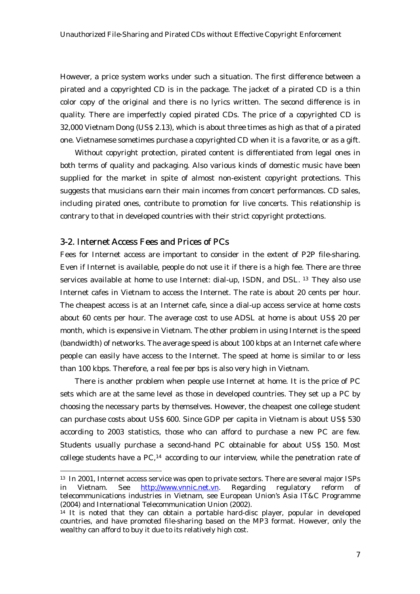However, a price system works under such a situation. The first difference between a pirated and a copyrighted CD is in the package. The jacket of a pirated CD is a thin color copy of the original and there is no lyrics written. The second difference is in quality. There are imperfectly copied pirated CDs. The price of a copyrighted CD is 32,000 Vietnam Dong (US\$ 2.13), which is about three times as high as that of a pirated one. Vietnamese sometimes purchase a copyrighted CD when it is a favorite, or as a gift.

Without copyright protection, pirated content is differentiated from legal ones in both terms of quality and packaging. Also various kinds of domestic music have been supplied for the market in spite of almost non-existent copyright protections. This suggests that musicians earn their main incomes from concert performances. CD sales, including pirated ones, contribute to promotion for live concerts. This relationship is contrary to that in developed countries with their strict copyright protections.

#### 3-2. Internet Access Fees and Prices of PCs

 $\overline{a}$ 

Fees for Internet access are important to consider in the extent of P2P file-sharing. Even if Internet is available, people do not use it if there is a high fee. There are three services available at home to use Internet: dial-up, ISDN, and DSL. 13 They also use Internet cafes in Vietnam to access the Internet. The rate is about 20 cents per hour. The cheapest access is at an Internet cafe, since a dial-up access service at home costs about 60 cents per hour. The average cost to use ADSL at home is about US\$ 20 per month, which is expensive in Vietnam. The other problem in using Internet is the speed (bandwidth) of networks. The average speed is about 100 kbps at an Internet cafe where people can easily have access to the Internet. The speed at home is similar to or less than 100 kbps. Therefore, a real fee per bps is also very high in Vietnam.

There is another problem when people use Internet at home. It is the price of PC sets which are at the same level as those in developed countries. They set up a PC by choosing the necessary parts by themselves. However, the cheapest one college student can purchase costs about US\$ 600. Since GDP per capita in Vietnam is about US\$ 530 according to 2003 statistics, those who can afford to purchase a new PC are few. Students usually purchase a second-hand PC obtainable for about US\$ 150. Most college students have a PC,14 according to our interview, while the penetration rate of

<sup>&</sup>lt;sup>13</sup> In 2001, Internet access service was open to private sectors. There are several major ISPs in Vietnam. See http://www.vnnic.net.vn. Regarding regulatory reform of telecommunications industries in Vietnam, see European Union's Asia IT&C Programme (2004) and International Telecommunication Union (2002).

<sup>&</sup>lt;sup>14</sup> It is noted that they can obtain a portable hard-disc player, popular in developed countries, and have promoted file-sharing based on the MP3 format. However, only the wealthy can afford to buy it due to its relatively high cost.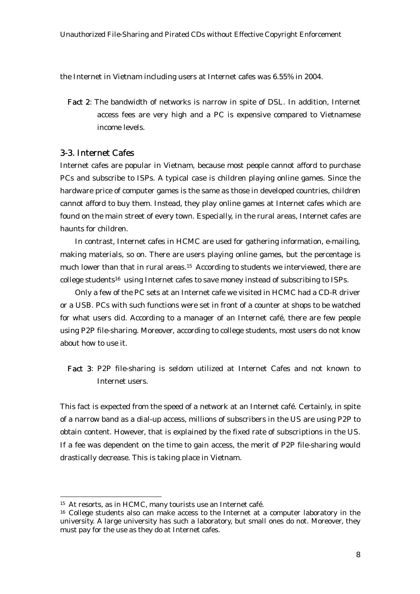the Internet in Vietnam including users at Internet cafes was 6.55% in 2004.

 Fact 2: The bandwidth of networks is narrow in spite of DSL. In addition, Internet access fees are very high and a PC is expensive compared to Vietnamese income levels.

## 3-3. Internet Cafes

Internet cafes are popular in Vietnam, because most people cannot afford to purchase PCs and subscribe to ISPs. A typical case is children playing online games. Since the hardware price of computer games is the same as those in developed countries, children cannot afford to buy them. Instead, they play online games at Internet cafes which are found on the main street of every town. Especially, in the rural areas, Internet cafes are haunts for children.

 In contrast, Internet cafes in HCMC are used for gathering information, e-mailing, making materials, so on. There are users playing online games, but the percentage is much lower than that in rural areas.15 According to students we interviewed, there are college students16 using Internet cafes to save money instead of subscribing to ISPs.

 Only a few of the PC sets at an Internet cafe we visited in HCMC had a CD-R driver or a USB. PCs with such functions were set in front of a counter at shops to be watched for what users did. According to a manager of an Internet café, there are few people using P2P file-sharing. Moreover, according to college students, most users do not know about how to use it.

 Fact 3: P2P file-sharing is seldom utilized at Internet Cafes and not known to Internet users.

This fact is expected from the speed of a network at an Internet café. Certainly, in spite of a narrow band as a dial-up access, millions of subscribers in the US are using P2P to obtain content. However, that is explained by the fixed rate of subscriptions in the US. If a fee was dependent on the time to gain access, the merit of P2P file-sharing would drastically decrease. This is taking place in Vietnam.

<sup>15</sup> At resorts, as in HCMC, many tourists use an Internet café.

<sup>&</sup>lt;sup>16</sup> College students also can make access to the Internet at a computer laboratory in the university. A large university has such a laboratory, but small ones do not. Moreover, they must pay for the use as they do at Internet cafes.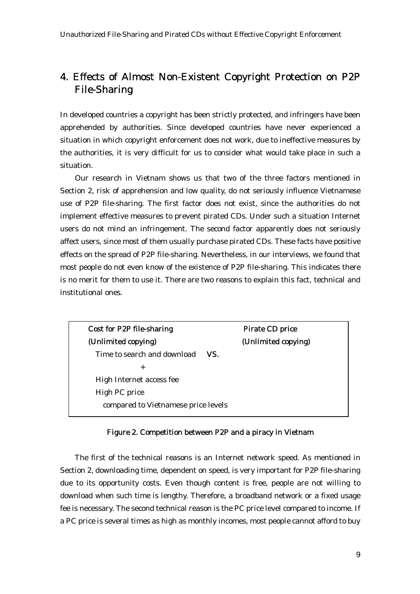# 4. Effects of Almost Non-Existent Copyright Protection on P2P File-Sharing

In developed countries a copyright has been strictly protected, and infringers have been apprehended by authorities. Since developed countries have never experienced a situation in which copyright enforcement does not work, due to ineffective measures by the authorities, it is very difficult for us to consider what would take place in such a situation.

 Our research in Vietnam shows us that two of the three factors mentioned in Section 2, risk of apprehension and low quality, do not seriously influence Vietnamese use of P2P file-sharing. The first factor does not exist, since the authorities do not implement effective measures to prevent pirated CDs. Under such a situation Internet users do not mind an infringement. The second factor apparently does not seriously affect users, since most of them usually purchase pirated CDs. These facts have positive effects on the spread of P2P file-sharing. Nevertheless, in our interviews, we found that most people do not even know of the existence of P2P file-sharing. This indicates there is no merit for them to use it. There are two reasons to explain this fact, technical and institutional ones.

Cost for P2P file-sharing Pirate CD price (Unlimited copying) (Unlimited copying) Time to search and download VS.  $+$  High Internet access fee High PC price compared to Vietnamese price levels

#### Figure 2. Competition between P2P and a piracy in Vietnam

The first of the technical reasons is an Internet network speed. As mentioned in Section 2, downloading time, dependent on speed, is very important for P2P file-sharing due to its opportunity costs. Even though content is free, people are not willing to download when such time is lengthy. Therefore, a broadband network or a fixed usage fee is necessary. The second technical reason is the PC price level compared to income. If a PC price is several times as high as monthly incomes, most people cannot afford to buy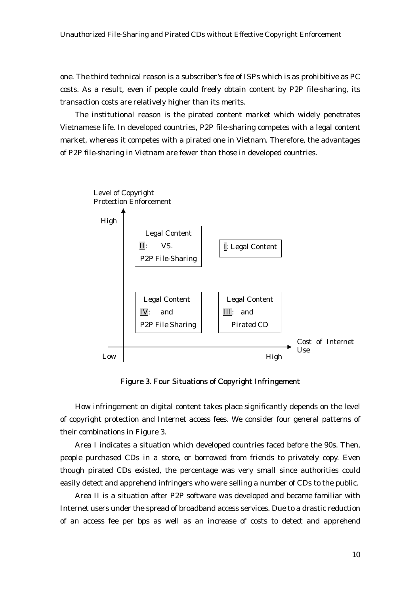one. The third technical reason is a subscriber's fee of ISPs which is as prohibitive as PC costs. As a result, even if people could freely obtain content by P2P file-sharing, its transaction costs are relatively higher than its merits.

 The institutional reason is the pirated content market which widely penetrates Vietnamese life. In developed countries, P2P file-sharing competes with a legal content market, whereas it competes with a pirated one in Vietnam. Therefore, the advantages of P2P file-sharing in Vietnam are fewer than those in developed countries.



Figure 3. Four Situations of Copyright Infringement

 How infringement on digital content takes place significantly depends on the level of copyright protection and Internet access fees. We consider four general patterns of their combinations in Figure 3.

Area I indicates a situation which developed countries faced before the 90s. Then, people purchased CDs in a store, or borrowed from friends to privately copy. Even though pirated CDs existed, the percentage was very small since authorities could easily detect and apprehend infringers who were selling a number of CDs to the public.

 Area II is a situation after P2P software was developed and became familiar with Internet users under the spread of broadband access services. Due to a drastic reduction of an access fee per bps as well as an increase of costs to detect and apprehend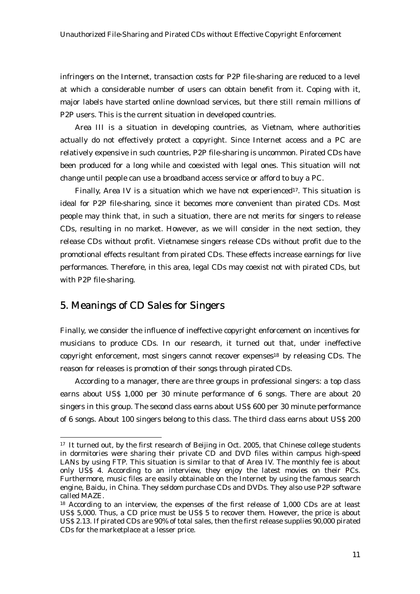infringers on the Internet, transaction costs for P2P file-sharing are reduced to a level at which a considerable number of users can obtain benefit from it. Coping with it, major labels have started online download services, but there still remain millions of P2P users. This is the current situation in developed countries.

 Area III is a situation in developing countries, as Vietnam, where authorities actually do not effectively protect a copyright. Since Internet access and a PC are relatively expensive in such countries, P2P file-sharing is uncommon. Pirated CDs have been produced for a long while and coexisted with legal ones. This situation will not change until people can use a broadband access service or afford to buy a PC.

Finally, Area IV is a situation which we have not experienced<sup>17</sup>. This situation is ideal for P2P file-sharing, since it becomes more convenient than pirated CDs. Most people may think that, in such a situation, there are not merits for singers to release CDs, resulting in no market. However, as we will consider in the next section, they release CDs without profit. Vietnamese singers release CDs without profit due to the promotional effects resultant from pirated CDs. These effects increase earnings for live performances. Therefore, in this area, legal CDs may coexist not with pirated CDs, but with P2P file-sharing.

## 5. Meanings of CD Sales for Singers

 $\overline{a}$ 

Finally, we consider the influence of ineffective copyright enforcement on incentives for musicians to produce CDs. In our research, it turned out that, under ineffective copyright enforcement, most singers cannot recover expenses18 by releasing CDs. The reason for releases is promotion of their songs through pirated CDs.

 According to a manager, there are three groups in professional singers: a top class earns about US\$ 1,000 per 30 minute performance of 6 songs. There are about 20 singers in this group. The second class earns about US\$ 600 per 30 minute performance of 6 songs. About 100 singers belong to this class. The third class earns about US\$ 200

<sup>&</sup>lt;sup>17</sup> It turned out, by the first research of Beijing in Oct. 2005, that Chinese college students in dormitories were sharing their private CD and DVD files within campus high-speed LANs by using FTP. This situation is similar to that of Area IV. The monthly fee is about only US\$ 4. According to an interview, they enjoy the latest movies on their PCs. Furthermore, music files are easily obtainable on the Internet by using the famous search engine, Baidu, in China. They seldom purchase CDs and DVDs. They also use P2P software called MAZE.

<sup>18</sup> According to an interview, the expenses of the first release of 1,000 CDs are at least US\$ 5,000. Thus, a CD price must be US\$ 5 to recover them. However, the price is about US\$ 2.13. If pirated CDs are 90% of total sales, then the first release supplies 90,000 pirated CDs for the marketplace at a lesser price.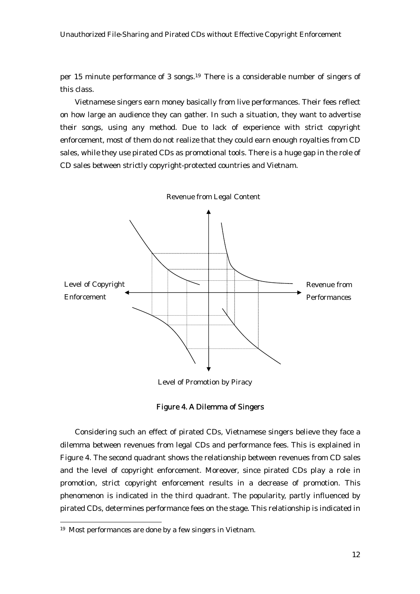per 15 minute performance of 3 songs.19 There is a considerable number of singers of this class.

Vietnamese singers earn money basically from live performances. Their fees reflect on how large an audience they can gather. In such a situation, they want to advertise their songs, using any method. Due to lack of experience with strict copyright enforcement, most of them do not realize that they could earn enough royalties from CD sales, while they use pirated CDs as promotional tools. There is a huge gap in the role of CD sales between strictly copyright-protected countries and Vietnam.



Level of Promotion by Piracy



Considering such an effect of pirated CDs, Vietnamese singers believe they face a dilemma between revenues from legal CDs and performance fees. This is explained in Figure 4. The second quadrant shows the relationship between revenues from CD sales and the level of copyright enforcement. Moreover, since pirated CDs play a role in promotion, strict copyright enforcement results in a decrease of promotion. This phenomenon is indicated in the third quadrant. The popularity, partly influenced by pirated CDs, determines performance fees on the stage. This relationship is indicated in

<sup>19</sup> Most performances are done by a few singers in Vietnam.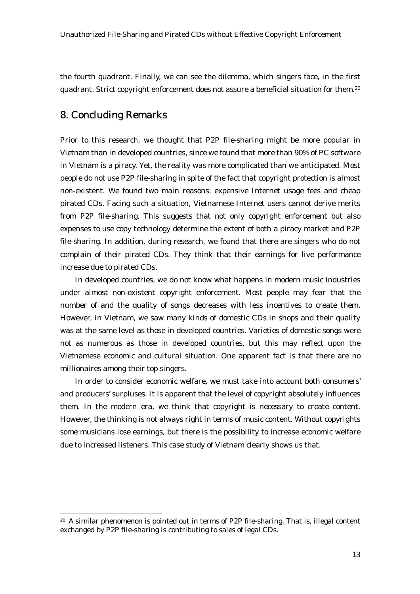the fourth quadrant. Finally, we can see the dilemma, which singers face, in the first quadrant. Strict copyright enforcement does not assure a beneficial situation for them.<sup>20</sup>

## 8. Concluding Remarks

 $\overline{a}$ 

Prior to this research, we thought that P2P file-sharing might be more popular in Vietnam than in developed countries, since we found that more than 90% of PC software in Vietnam is a piracy. Yet, the reality was more complicated than we anticipated. Most people do not use P2P file-sharing in spite of the fact that copyright protection is almost non-existent. We found two main reasons: expensive Internet usage fees and cheap pirated CDs. Facing such a situation, Vietnamese Internet users cannot derive merits from P2P file-sharing. This suggests that not only copyright enforcement but also expenses to use copy technology determine the extent of both a piracy market and P2P file-sharing. In addition, during research, we found that there are singers who do not complain of their pirated CDs. They think that their earnings for live performance increase due to pirated CDs.

 In developed countries, we do not know what happens in modern music industries under almost non-existent copyright enforcement. Most people may fear that the number of and the quality of songs decreases with less incentives to create them. However, in Vietnam, we saw many kinds of domestic CDs in shops and their quality was at the same level as those in developed countries. Varieties of domestic songs were not as numerous as those in developed countries, but this may reflect upon the Vietnamese economic and cultural situation. One apparent fact is that there are no millionaires among their top singers.

 In order to consider economic welfare, we must take into account both consumers' and producers' surpluses. It is apparent that the level of copyright absolutely influences them. In the modern era, we think that copyright is necessary to create content. However, the thinking is not always right in terms of music content. Without copyrights some musicians lose earnings, but there is the possibility to increase economic welfare due to increased listeners. This case study of Vietnam clearly shows us that.

<sup>20</sup> A similar phenomenon is pointed out in terms of P2P file-sharing. That is, illegal content exchanged by P2P file-sharing is contributing to sales of legal CDs.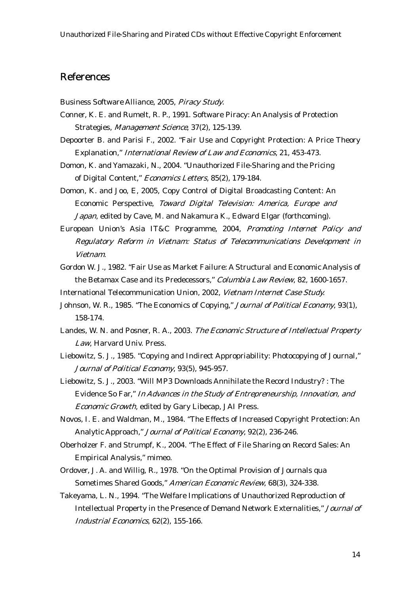# References

Business Software Alliance, 2005, Piracy Study.

- Conner, K. E. and Rumelt, R. P., 1991. Software Piracy: An Analysis of Protection Strategies, Management Science, 37(2), 125-139.
- Depoorter B. and Parisi F., 2002. "Fair Use and Copyright Protection: A Price Theory Explanation," International Review of Law and Economics, 21, 453-473.
- Domon, K. and Yamazaki, N., 2004. "Unauthorized File-Sharing and the Pricing of Digital Content," Economics Letters, 85(2), 179-184.

Domon, K. and Joo, E, 2005, Copy Control of Digital Broadcasting Content: An Economic Perspective, Toward Digital Television: America, Europe and Japan, edited by Cave, M. and Nakamura K., Edward Elgar (forthcoming).

- European Union's Asia IT&C Programme, 2004, Promoting Internet Policy and Regulatory Reform in Vietnam: Status of Telecommunications Development in Vietnam.
- Gordon W. J., 1982. "Fair Use as Market Failure: A Structural and Economic Analysis of the Betamax Case and its Predecessors," Columbia Law Review, 82, 1600-1657.
- International Telecommunication Union, 2002, Vietnam Internet Case Study.
- Johnson, W. R., 1985. "The Economics of Copying," Journal of Political Economy, 93(1), 158-174.
- Landes, W. N. and Posner, R. A., 2003. The Economic Structure of Intellectual Property Law, Harvard Univ. Press.
- Liebowitz, S. J., 1985. "Copying and Indirect Appropriability: Photocopying of Journal," Journal of Political Economy, 93(5), 945-957.
- Liebowitz, S. J., 2003. "Will MP3 Downloads Annihilate the Record Industry? : The Evidence So Far," In Advances in the Study of Entrepreneurship, Innovation, and Economic Growth, edited by Gary Libecap, JAI Press.
- Novos, I. E. and Waldman, M., 1984. "The Effects of Increased Copyright Protection: An Analytic Approach," Journal of Political Economy, 92(2), 236-246.
- Oberholzer F. and Strumpf, K., 2004. "The Effect of File Sharing on Record Sales: An Empirical Analysis," mimeo.
- Ordover, J. A. and Willig, R., 1978. "On the Optimal Provision of Journals qua Sometimes Shared Goods," American Economic Review, 68(3), 324-338.
- Takeyama, L. N., 1994. "The Welfare Implications of Unauthorized Reproduction of Intellectual Property in the Presence of Demand Network Externalities," Journal of Industrial Economics, 62(2), 155-166.